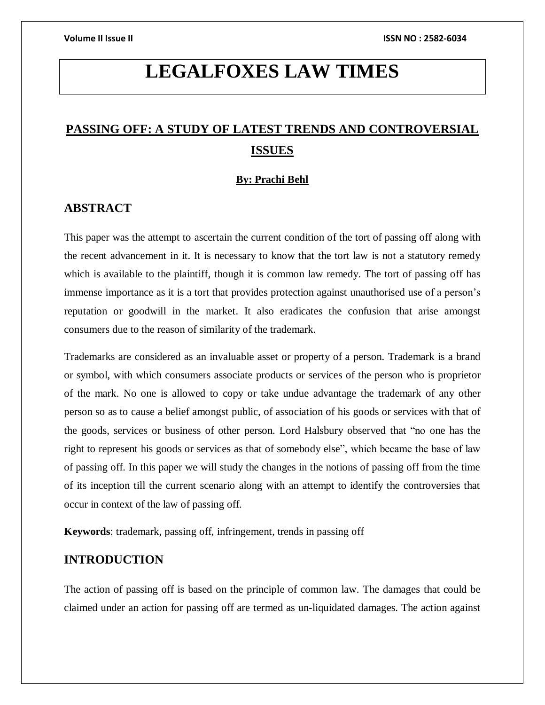# **LEGALFOXES LAW TIMES**

# **PASSING OFF: A STUDY OF LATEST TRENDS AND CONTROVERSIAL ISSUES**

#### **By: Prachi Behl**

### **ABSTRACT**

This paper was the attempt to ascertain the current condition of the tort of passing off along with the recent advancement in it. It is necessary to know that the tort law is not a statutory remedy which is available to the plaintiff, though it is common law remedy. The tort of passing off has immense importance as it is a tort that provides protection against unauthorised use of a person's reputation or goodwill in the market. It also eradicates the confusion that arise amongst consumers due to the reason of similarity of the trademark.

Trademarks are considered as an invaluable asset or property of a person. Trademark is a brand or symbol, with which consumers associate products or services of the person who is proprietor of the mark. No one is allowed to copy or take undue advantage the trademark of any other person so as to cause a belief amongst public, of association of his goods or services with that of the goods, services or business of other person. Lord Halsbury observed that "no one has the right to represent his goods or services as that of somebody else", which became the base of law of passing off. In this paper we will study the changes in the notions of passing off from the time of its inception till the current scenario along with an attempt to identify the controversies that occur in context of the law of passing off.

**Keywords**: trademark, passing off, infringement, trends in passing off

# **INTRODUCTION**

The action of passing off is based on the principle of common law. The damages that could be claimed under an action for passing off are termed as un-liquidated damages. The action against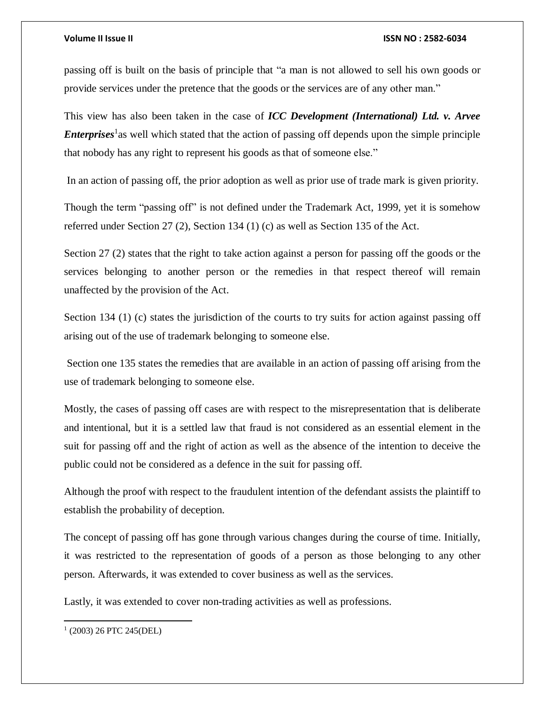passing off is built on the basis of principle that "a man is not allowed to sell his own goods or provide services under the pretence that the goods or the services are of any other man."

This view has also been taken in the case of *ICC Development (International) Ltd. v. Arvee Enterprises*<sup>1</sup> as well which stated that the action of passing off depends upon the simple principle that nobody has any right to represent his goods as that of someone else."

In an action of passing off, the prior adoption as well as prior use of trade mark is given priority.

Though the term "passing off" is not defined under the Trademark Act, 1999, yet it is somehow referred under Section 27 (2), Section 134 (1) (c) as well as Section 135 of the Act.

Section 27 (2) states that the right to take action against a person for passing off the goods or the services belonging to another person or the remedies in that respect thereof will remain unaffected by the provision of the Act.

Section 134 (1) (c) states the jurisdiction of the courts to try suits for action against passing off arising out of the use of trademark belonging to someone else.

Section one 135 states the remedies that are available in an action of passing off arising from the use of trademark belonging to someone else.

Mostly, the cases of passing off cases are with respect to the misrepresentation that is deliberate and intentional, but it is a settled law that fraud is not considered as an essential element in the suit for passing off and the right of action as well as the absence of the intention to deceive the public could not be considered as a defence in the suit for passing off.

Although the proof with respect to the fraudulent intention of the defendant assists the plaintiff to establish the probability of deception.

The concept of passing off has gone through various changes during the course of time. Initially, it was restricted to the representation of goods of a person as those belonging to any other person. Afterwards, it was extended to cover business as well as the services.

Lastly, it was extended to cover non-trading activities as well as professions.

<sup>1</sup> (2003) 26 PTC 245(DEL)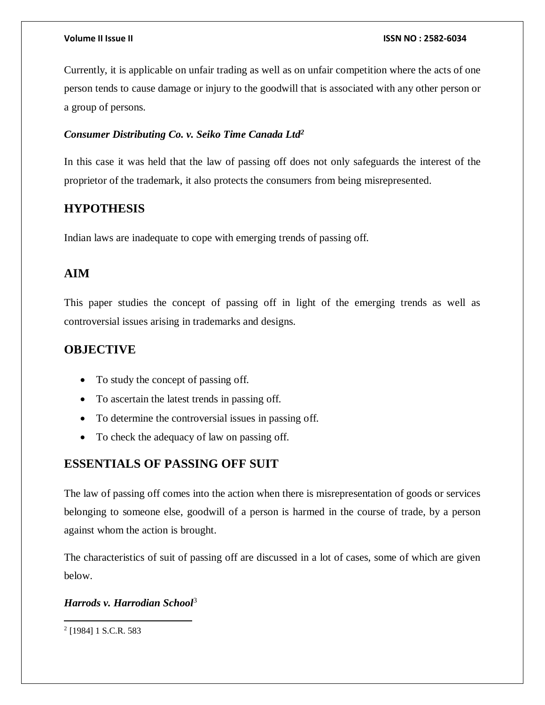Currently, it is applicable on unfair trading as well as on unfair competition where the acts of one person tends to cause damage or injury to the goodwill that is associated with any other person or a group of persons.

### *Consumer Distributing Co. v. Seiko Time Canada Ltd<sup>2</sup>*

In this case it was held that the law of passing off does not only safeguards the interest of the proprietor of the trademark, it also protects the consumers from being misrepresented.

# **HYPOTHESIS**

Indian laws are inadequate to cope with emerging trends of passing off.

# **AIM**

This paper studies the concept of passing off in light of the emerging trends as well as controversial issues arising in trademarks and designs.

# **OBJECTIVE**

- To study the concept of passing off.
- To ascertain the latest trends in passing off.
- To determine the controversial issues in passing off.
- To check the adequacy of law on passing off.

# **ESSENTIALS OF PASSING OFF SUIT**

The law of passing off comes into the action when there is misrepresentation of goods or services belonging to someone else, goodwill of a person is harmed in the course of trade, by a person against whom the action is brought.

The characteristics of suit of passing off are discussed in a lot of cases, some of which are given below.

### *Harrods v. Harrodian School*<sup>3</sup>

 $\overline{a}$ 2 [1984] 1 S.C.R. 583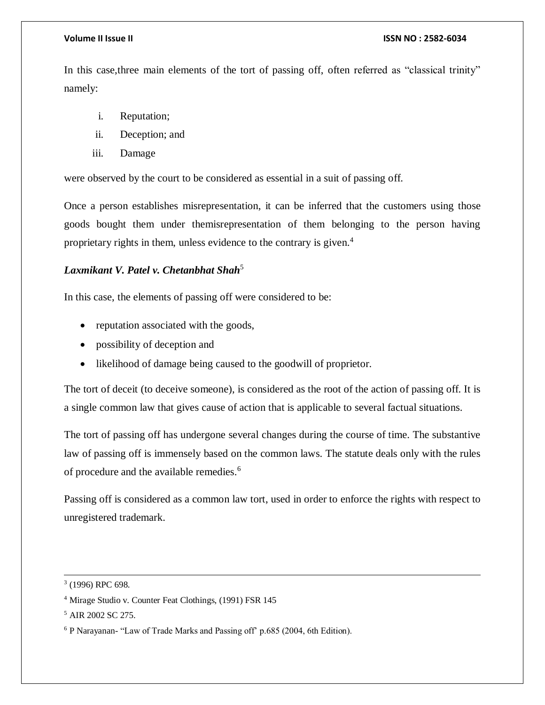In this case,three main elements of the tort of passing off, often referred as "classical trinity" namely:

- i. Reputation;
- ii. Deception; and
- iii. Damage

were observed by the court to be considered as essential in a suit of passing off.

Once a person establishes misrepresentation, it can be inferred that the customers using those goods bought them under themisrepresentation of them belonging to the person having proprietary rights in them, unless evidence to the contrary is given.<sup>4</sup>

# *Laxmikant V. Patel v. Chetanbhat Shah*<sup>5</sup>

In this case, the elements of passing off were considered to be:

- reputation associated with the goods,
- possibility of deception and
- likelihood of damage being caused to the goodwill of proprietor.

The tort of deceit (to deceive someone), is considered as the root of the action of passing off. It is a single common law that gives cause of action that is applicable to several factual situations.

The tort of passing off has undergone several changes during the course of time. The substantive law of passing off is immensely based on the common laws. The statute deals only with the rules of procedure and the available remedies.<sup>6</sup>

Passing off is considered as a common law tort, used in order to enforce the rights with respect to unregistered trademark.

<sup>3</sup> (1996) RPC 698.

<sup>4</sup> Mirage Studio v. Counter Feat Clothings, (1991) FSR 145

<sup>&</sup>lt;sup>5</sup> AIR 2002 SC 275.

<sup>6</sup> P Narayanan- "Law of Trade Marks and Passing off' p.685 (2004, 6th Edition).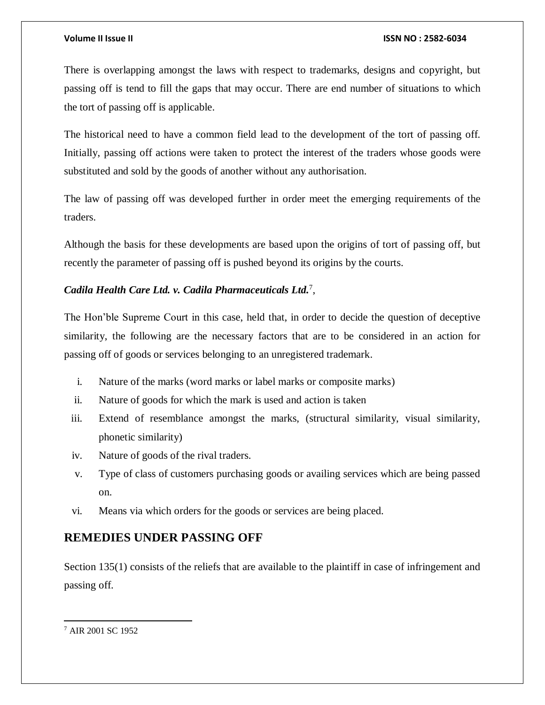There is overlapping amongst the laws with respect to trademarks, designs and copyright, but passing off is tend to fill the gaps that may occur. There are end number of situations to which the tort of passing off is applicable.

The historical need to have a common field lead to the development of the tort of passing off. Initially, passing off actions were taken to protect the interest of the traders whose goods were substituted and sold by the goods of another without any authorisation.

The law of passing off was developed further in order meet the emerging requirements of the traders.

Although the basis for these developments are based upon the origins of tort of passing off, but recently the parameter of passing off is pushed beyond its origins by the courts.

### *Cadila Health Care Ltd. v. Cadila Pharmaceuticals Ltd.*<sup>7</sup> ,

The Hon'ble Supreme Court in this case, held that, in order to decide the question of deceptive similarity, the following are the necessary factors that are to be considered in an action for passing off of goods or services belonging to an unregistered trademark.

- i. Nature of the marks (word marks or label marks or composite marks)
- ii. Nature of goods for which the mark is used and action is taken
- iii. Extend of resemblance amongst the marks, (structural similarity, visual similarity, phonetic similarity)
- iv. Nature of goods of the rival traders.
- v. Type of class of customers purchasing goods or availing services which are being passed on.
- vi. Means via which orders for the goods or services are being placed.

# **REMEDIES UNDER PASSING OFF**

Section 135(1) consists of the reliefs that are available to the plaintiff in case of infringement and passing off.

<sup>7</sup> AIR 2001 SC 1952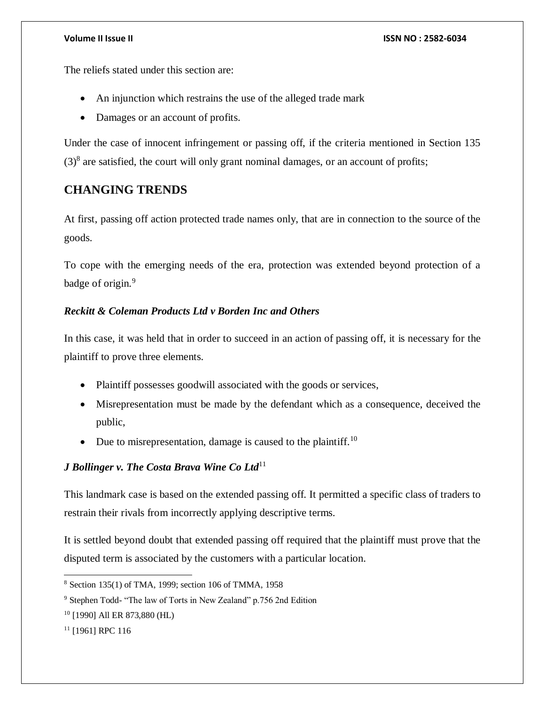The reliefs stated under this section are:

- An injunction which restrains the use of the alleged trade mark
- Damages or an account of profits.

Under the case of innocent infringement or passing off, if the criteria mentioned in Section 135  $(3)^8$  are satisfied, the court will only grant nominal damages, or an account of profits;

# **CHANGING TRENDS**

At first, passing off action protected trade names only, that are in connection to the source of the goods.

To cope with the emerging needs of the era, protection was extended beyond protection of a badge of origin.<sup>9</sup>

### *Reckitt & Coleman Products Ltd v Borden Inc and Others*

In this case, it was held that in order to succeed in an action of passing off, it is necessary for the plaintiff to prove three elements.

- Plaintiff possesses goodwill associated with the goods or services,
- Misrepresentation must be made by the defendant which as a consequence, deceived the public,
- Due to misrepresentation, damage is caused to the plaintiff.<sup>10</sup>

# *J Bollinger v. The Costa Brava Wine Co Ltd*<sup>11</sup>

This landmark case is based on the extended passing off. It permitted a specific class of traders to restrain their rivals from incorrectly applying descriptive terms.

It is settled beyond doubt that extended passing off required that the plaintiff must prove that the disputed term is associated by the customers with a particular location.

<sup>8</sup> Section 135(1) of TMA, 1999; section 106 of TMMA, 1958

<sup>9</sup> Stephen Todd- "The law of Torts in New Zealand" p.756 2nd Edition

<sup>10</sup> [1990] All ER 873,880 (HL)

<sup>&</sup>lt;sup>11</sup> [1961] RPC 116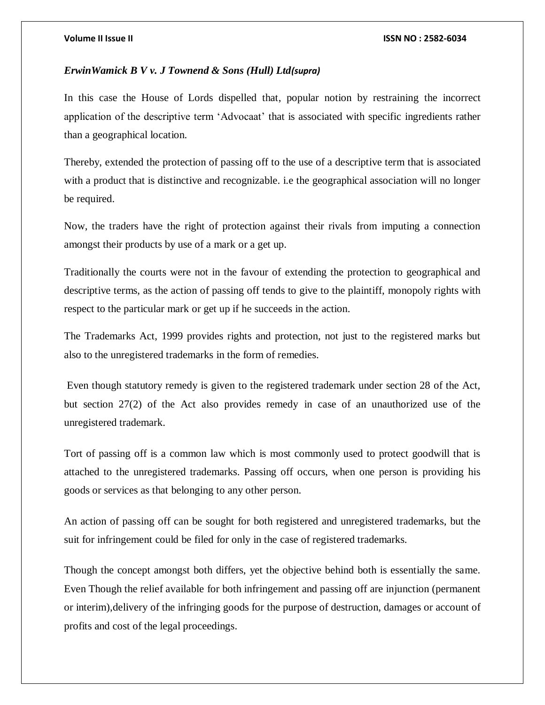#### *ErwinWamick B V v. J Townend & Sons (Hull) Ltd(supra)*

In this case the House of Lords dispelled that, popular notion by restraining the incorrect application of the descriptive term 'Advocaat' that is associated with specific ingredients rather than a geographical location.

Thereby, extended the protection of passing off to the use of a descriptive term that is associated with a product that is distinctive and recognizable. i.e the geographical association will no longer be required.

Now, the traders have the right of protection against their rivals from imputing a connection amongst their products by use of a mark or a get up.

Traditionally the courts were not in the favour of extending the protection to geographical and descriptive terms, as the action of passing off tends to give to the plaintiff, monopoly rights with respect to the particular mark or get up if he succeeds in the action.

The Trademarks Act, 1999 provides rights and protection, not just to the registered marks but also to the unregistered trademarks in the form of remedies.

Even though statutory remedy is given to the registered trademark under section 28 of the Act, but section 27(2) of the Act also provides remedy in case of an unauthorized use of the unregistered trademark.

Tort of passing off is a common law which is most commonly used to protect goodwill that is attached to the unregistered trademarks. Passing off occurs, when one person is providing his goods or services as that belonging to any other person.

An action of passing off can be sought for both registered and unregistered trademarks, but the suit for infringement could be filed for only in the case of registered trademarks.

Though the concept amongst both differs, yet the objective behind both is essentially the same. Even Though the relief available for both infringement and passing off are injunction (permanent or interim),delivery of the infringing goods for the purpose of destruction, damages or account of profits and cost of the legal proceedings.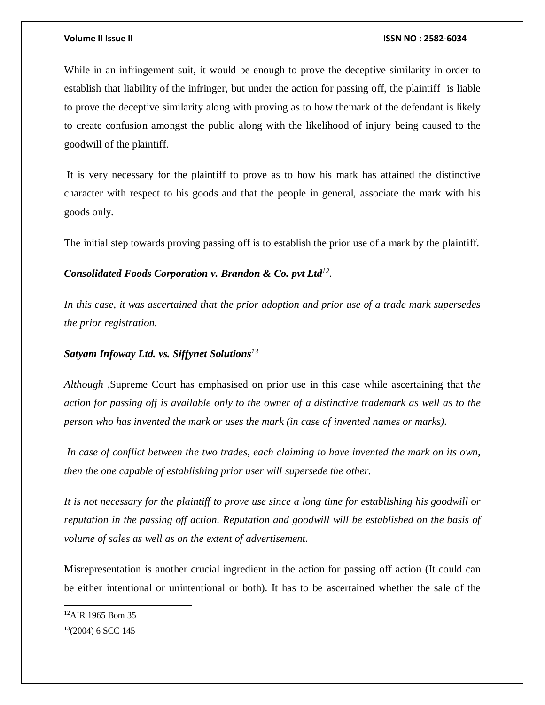While in an infringement suit, it would be enough to prove the deceptive similarity in order to establish that liability of the infringer, but under the action for passing off, the plaintiff is liable to prove the deceptive similarity along with proving as to how themark of the defendant is likely to create confusion amongst the public along with the likelihood of injury being caused to the goodwill of the plaintiff.

It is very necessary for the plaintiff to prove as to how his mark has attained the distinctive character with respect to his goods and that the people in general, associate the mark with his goods only.

The initial step towards proving passing off is to establish the prior use of a mark by the plaintiff.

# *Consolidated Foods Corporation v. Brandon & Co. pvt Ltd<sup>12</sup> .*

*In this case, it was ascertained that the prior adoption and prior use of a trade mark supersedes the prior registration.* 

### *Satyam Infoway Ltd. vs. Siffynet Solutions<sup>13</sup>*

*Although ,*Supreme Court has emphasised on prior use in this case while ascertaining that t*he action for passing off is available only to the owner of a distinctive trademark as well as to the person who has invented the mark or uses the mark (in case of invented names or marks).*

*In case of conflict between the two trades, each claiming to have invented the mark on its own, then the one capable of establishing prior user will supersede the other.* 

*It is not necessary for the plaintiff to prove use since a long time for establishing his goodwill or reputation in the passing off action. Reputation and goodwill will be established on the basis of volume of sales as well as on the extent of advertisement.*

Misrepresentation is another crucial ingredient in the action for passing off action (It could can be either intentional or unintentional or both). It has to be ascertained whether the sale of the

<sup>&</sup>lt;sup>12</sup>AIR 1965 Bom 35

 $13(2004)$  6 SCC 145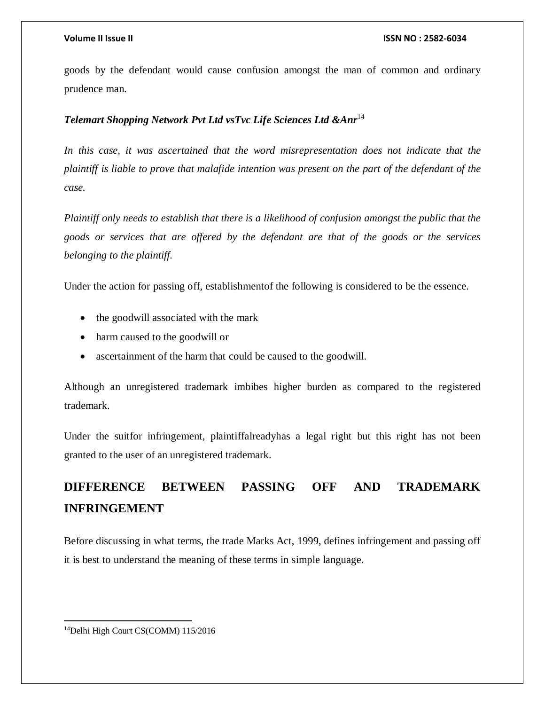goods by the defendant would cause confusion amongst the man of common and ordinary prudence man.

### *Telemart Shopping Network Pvt Ltd vsTvc Life Sciences Ltd &Anr*<sup>14</sup>

*In this case, it was ascertained that the word misrepresentation does not indicate that the plaintiff is liable to prove that malafide intention was present on the part of the defendant of the case.*

*Plaintiff only needs to establish that there is a likelihood of confusion amongst the public that the goods or services that are offered by the defendant are that of the goods or the services belonging to the plaintiff.*

Under the action for passing off, establishmentof the following is considered to be the essence.

- the goodwill associated with the mark
- harm caused to the goodwill or
- ascertainment of the harm that could be caused to the goodwill.

Although an unregistered trademark imbibes higher burden as compared to the registered trademark.

Under the suitfor infringement, plaintiffalreadyhas a legal right but this right has not been granted to the user of an unregistered trademark.

# **DIFFERENCE BETWEEN PASSING OFF AND TRADEMARK INFRINGEMENT**

Before discussing in what terms, the trade Marks Act, 1999, defines infringement and passing off it is best to understand the meaning of these terms in simple language.

 $\overline{a}$ <sup>14</sup>Delhi High Court CS(COMM) 115/2016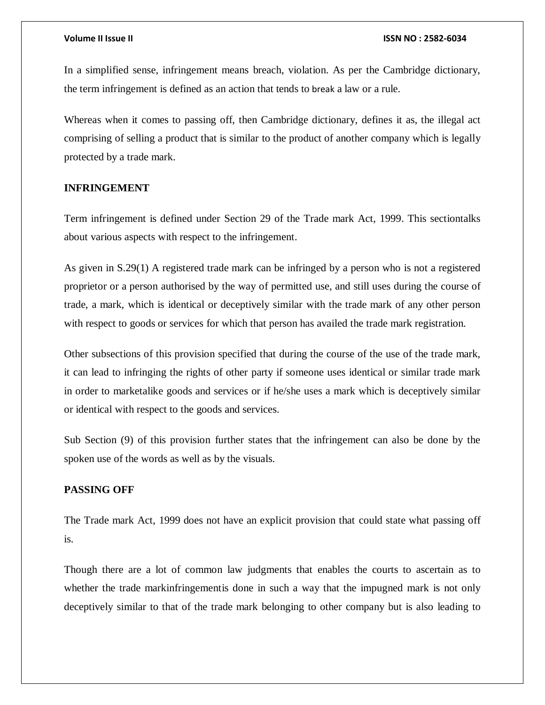In a simplified sense, infringement means breach, violation. As per the Cambridge dictionary, the term infringement is defined as an [action](https://dictionary.cambridge.org/dictionary/english/action) that tends to break a law or a [rule.](https://dictionary.cambridge.org/dictionary/english/rule)

Whereas when it comes to passing off, then Cambridge dictionary, defines it as, the illegal act comprising of selling a product that is similar to the product of another company which is legally protected by a trade mark.

### **INFRINGEMENT**

Term infringement is defined under Section 29 of the Trade mark Act, 1999. This sectiontalks about various aspects with respect to the infringement.

As given in S.29(1) A registered trade mark can be infringed by a person who is not a registered proprietor or a person authorised by the way of permitted use, and still uses during the course of trade, a mark, which is identical or deceptively similar with the trade mark of any other person with respect to goods or services for which that person has availed the trade mark registration.

Other subsections of this provision specified that during the course of the use of the trade mark, it can lead to infringing the rights of other party if someone uses identical or similar trade mark in order to marketalike goods and services or if he/she uses a mark which is deceptively similar or identical with respect to the goods and services.

Sub Section (9) of this provision further states that the infringement can also be done by the spoken use of the words as well as by the visuals.

### **PASSING OFF**

The Trade mark Act, 1999 does not have an explicit provision that could state what passing off is.

Though there are a lot of common law judgments that enables the courts to ascertain as to whether the trade markinfringementis done in such a way that the impugned mark is not only deceptively similar to that of the trade mark belonging to other company but is also leading to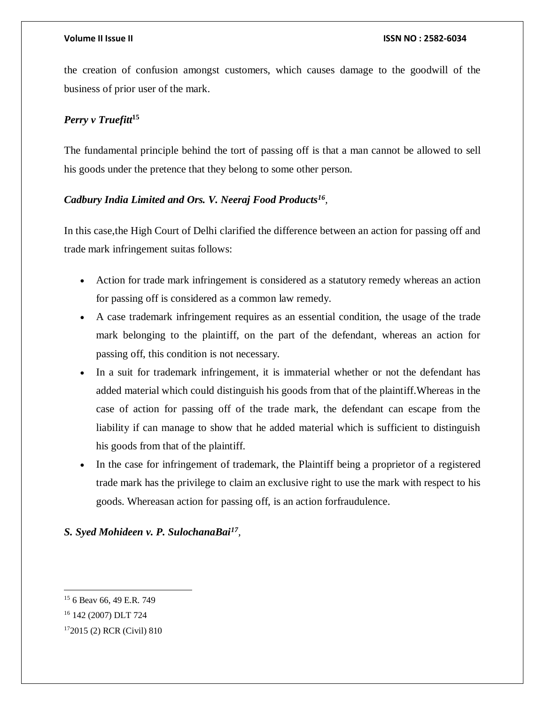the creation of confusion amongst customers, which causes damage to the goodwill of the business of prior user of the mark.

# *Perry v Truefitt***<sup>15</sup>**

The fundamental principle behind the tort of passing off is that a man cannot be allowed to sell his goods under the pretence that they belong to some other person.

### *Cadbury India Limited and Ors. V. Neeraj Food Products<sup>16</sup> ,*

In this case,the High Court of Delhi clarified the difference between an action for passing off and trade mark infringement suitas follows:

- Action for trade mark infringement is considered as a statutory remedy whereas an action for passing off is considered as a common law remedy.
- A case trademark infringement requires as an essential condition, the usage of the trade mark belonging to the plaintiff, on the part of the defendant, whereas an action for passing off, this condition is not necessary.
- In a suit for trademark infringement, it is immaterial whether or not the defendant has added material which could distinguish his goods from that of the plaintiff.Whereas in the case of action for passing off of the trade mark, the defendant can escape from the liability if can manage to show that he added material which is sufficient to distinguish his goods from that of the plaintiff.
- In the case for infringement of trademark, the Plaintiff being a proprietor of a registered trade mark has the privilege to claim an exclusive right to use the mark with respect to his goods. Whereasan action for passing off, is an action forfraudulence.

# *S. Syed Mohideen v. P. SulochanaBai<sup>17</sup> ,*

 $\overline{\phantom{a}}$ <sup>15</sup> 6 Beav 66, 49 E.R. 749

<sup>16</sup> 142 (2007) DLT 724

<sup>17</sup>2015 (2) RCR (Civil) 810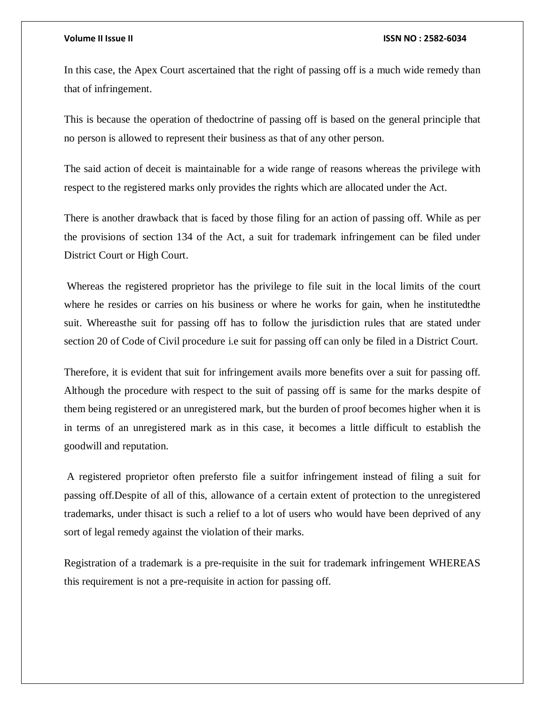In this case, the Apex Court ascertained that the right of passing off is a much wide remedy than that of infringement.

This is because the operation of thedoctrine of passing off is based on the general principle that no person is allowed to represent their business as that of any other person.

The said action of deceit is maintainable for a wide range of reasons whereas the privilege with respect to the registered marks only provides the rights which are allocated under the Act.

There is another drawback that is faced by those filing for an action of passing off. While as per the provisions of section 134 of the Act, a suit for trademark infringement can be filed under District Court or High Court.

Whereas the registered proprietor has the privilege to file suit in the local limits of the court where he resides or carries on his business or where he works for gain, when he institutedthe suit. Whereasthe suit for passing off has to follow the jurisdiction rules that are stated under section 20 of Code of Civil procedure i.e suit for passing off can only be filed in a District Court.

Therefore, it is evident that suit for infringement avails more benefits over a suit for passing off. Although the procedure with respect to the suit of passing off is same for the marks despite of them being registered or an unregistered mark, but the burden of proof becomes higher when it is in terms of an unregistered mark as in this case, it becomes a little difficult to establish the goodwill and reputation.

A registered proprietor often prefersto file a suitfor infringement instead of filing a suit for passing off.Despite of all of this, allowance of a certain extent of protection to the unregistered trademarks, under thisact is such a relief to a lot of users who would have been deprived of any sort of legal remedy against the violation of their marks.

Registration of a trademark is a pre-requisite in the suit for trademark infringement WHEREAS this requirement is not a pre-requisite in action for passing off.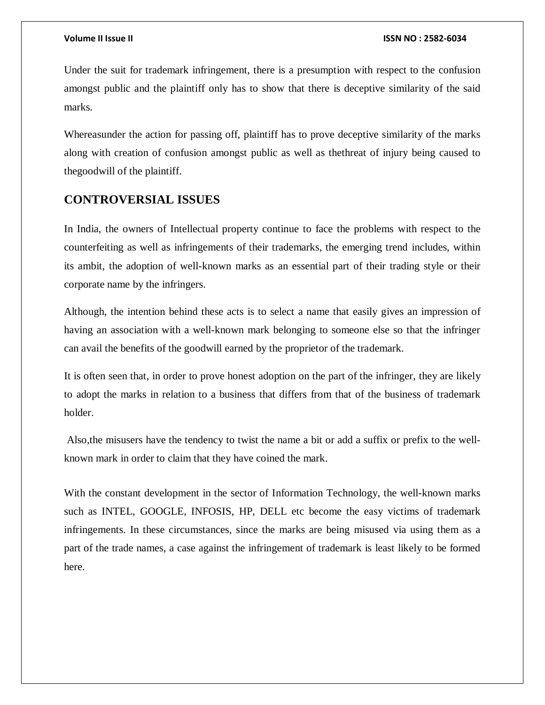Under the suit for trademark infringement, there is a presumption with respect to the confusion amongst public and the plaintiff only has to show that there is deceptive similarity of the said marks.

Whereasunder the action for passing off, plaintiff has to prove deceptive similarity of the marks along with creation of confusion amongst public as well as thethreat of injury being caused to thegoodwill of the plaintiff.

# **CONTROVERSIAL ISSUES**

In India, the owners of Intellectual property continue to face the problems with respect to the counterfeiting as well as infringements of their trademarks, the emerging trend includes, within its ambit, the adoption of well-known marks as an essential part of their trading style or their corporate name by the infringers.

Although, the intention behind these acts is to select a name that easily gives an impression of having an association with a well-known mark belonging to someone else so that the infringer can avail the benefits of the goodwill earned by the proprietor of the trademark.

It is often seen that, in order to prove honest adoption on the part of the infringer, they are likely to adopt the marks in relation to a business that differs from that of the business of trademark holder.

Also,the misusers have the tendency to twist the name a bit or add a suffix or prefix to the wellknown mark in order to claim that they have coined the mark.

With the constant development in the sector of Information Technology, the well-known marks such as INTEL, GOOGLE, INFOSIS, HP, DELL etc become the easy victims of trademark infringements. In these circumstances, since the marks are being misused via using them as a part of the trade names, a case against the infringement of trademark is least likely to be formed here.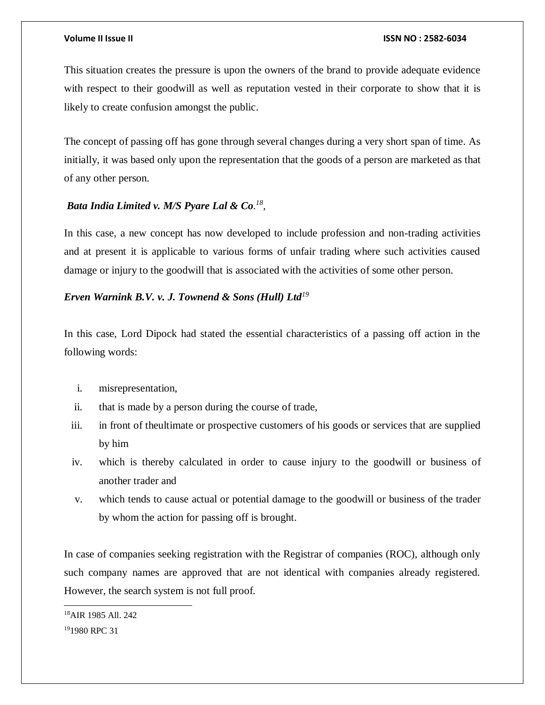This situation creates the pressure is upon the owners of the brand to provide adequate evidence with respect to their goodwill as well as reputation vested in their corporate to show that it is likely to create confusion amongst the public.

The concept of passing off has gone through several changes during a very short span of time. As initially, it was based only upon the representation that the goods of a person are marketed as that of any other person.

### *Bata India Limited v. M/S Pyare Lal & Co. 18 ,*

In this case, a new concept has now developed to include profession and non-trading activities and at present it is applicable to various forms of unfair trading where such activities caused damage or injury to the goodwill that is associated with the activities of some other person.

### *Erven Warnink B.V. v. J. Townend & Sons (Hull) Ltd<sup>19</sup>*

In this case, Lord Dipock had stated the essential characteristics of a passing off action in the following words:

- i. misrepresentation,
- ii. that is made by a person during the course of trade,
- iii. in front of theultimate or prospective customers of his goods or services that are supplied by him
- iv. which is thereby calculated in order to cause injury to the goodwill or business of another trader and
- v. which tends to cause actual or potential damage to the goodwill or business of the trader by whom the action for passing off is brought.

In case of companies seeking registration with the Registrar of companies (ROC), although only such company names are approved that are not identical with companies already registered. However, the search system is not full proof.

 $\overline{a}$ <sup>18</sup>AIR 1985 All. 242

<sup>&</sup>lt;sup>19</sup>1980 RPC 31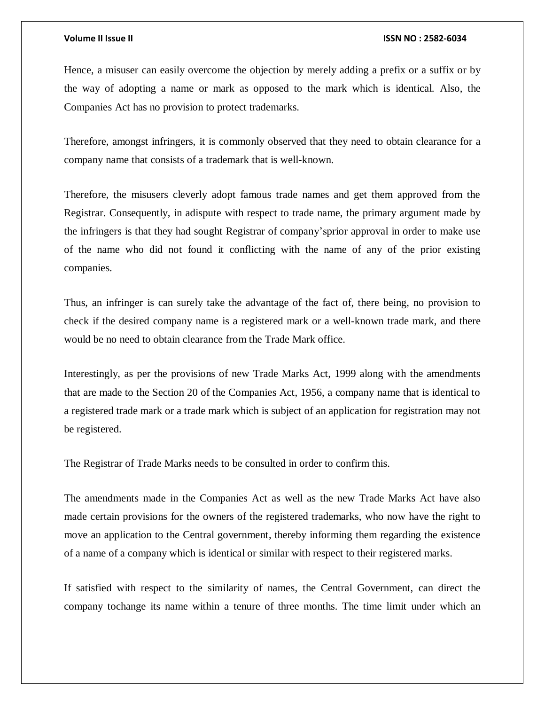Hence, a misuser can easily overcome the objection by merely adding a prefix or a suffix or by the way of adopting a name or mark as opposed to the mark which is identical. Also, the Companies Act has no provision to protect trademarks.

Therefore, amongst infringers, it is commonly observed that they need to obtain clearance for a company name that consists of a trademark that is well-known.

Therefore, the misusers cleverly adopt famous trade names and get them approved from the Registrar. Consequently, in adispute with respect to trade name, the primary argument made by the infringers is that they had sought Registrar of company'sprior approval in order to make use of the name who did not found it conflicting with the name of any of the prior existing companies.

Thus, an infringer is can surely take the advantage of the fact of, there being, no provision to check if the desired company name is a registered mark or a well-known trade mark, and there would be no need to obtain clearance from the Trade Mark office.

Interestingly, as per the provisions of new Trade Marks Act, 1999 along with the amendments that are made to the Section 20 of the Companies Act, 1956, a company name that is identical to a registered trade mark or a trade mark which is subject of an application for registration may not be registered.

The Registrar of Trade Marks needs to be consulted in order to confirm this.

The amendments made in the Companies Act as well as the new Trade Marks Act have also made certain provisions for the owners of the registered trademarks, who now have the right to move an application to the Central government, thereby informing them regarding the existence of a name of a company which is identical or similar with respect to their registered marks.

If satisfied with respect to the similarity of names, the Central Government, can direct the company tochange its name within a tenure of three months. The time limit under which an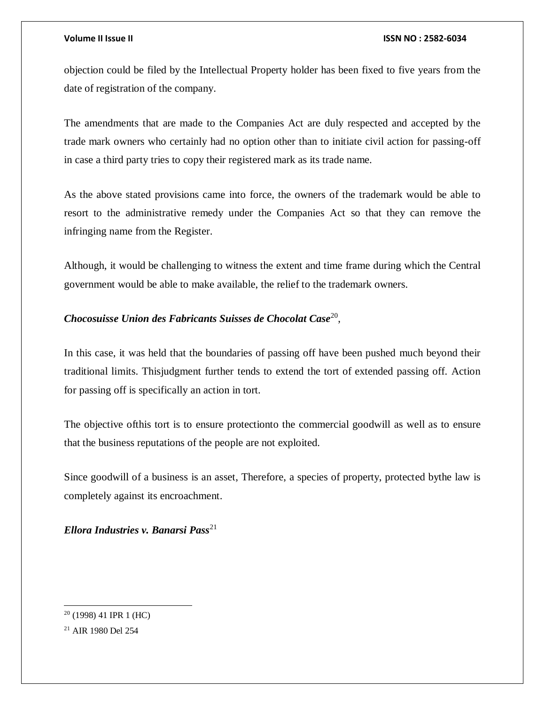objection could be filed by the Intellectual Property holder has been fixed to five years from the date of registration of the company.

The amendments that are made to the Companies Act are duly respected and accepted by the trade mark owners who certainly had no option other than to initiate civil action for passing-off in case a third party tries to copy their registered mark as its trade name.

As the above stated provisions came into force, the owners of the trademark would be able to resort to the administrative remedy under the Companies Act so that they can remove the infringing name from the Register.

Although, it would be challenging to witness the extent and time frame during which the Central government would be able to make available, the relief to the trademark owners.

### *Chocosuisse Union des Fabricants Suisses de Chocolat Case*<sup>20</sup> ,

In this case, it was held that the boundaries of passing off have been pushed much beyond their traditional limits. Thisjudgment further tends to extend the tort of extended passing off. Action for passing off is specifically an action in tort.

The objective ofthis tort is to ensure protectionto the commercial goodwill as well as to ensure that the business reputations of the people are not exploited.

Since goodwill of a business is an asset, Therefore, a species of property, protected bythe law is completely against its encroachment.

*Ellora Industries v. Banarsi Pass*<sup>21</sup>

 $\overline{a}$  $20$  (1998) 41 IPR 1 (HC)

<sup>21</sup> AIR 1980 Del 254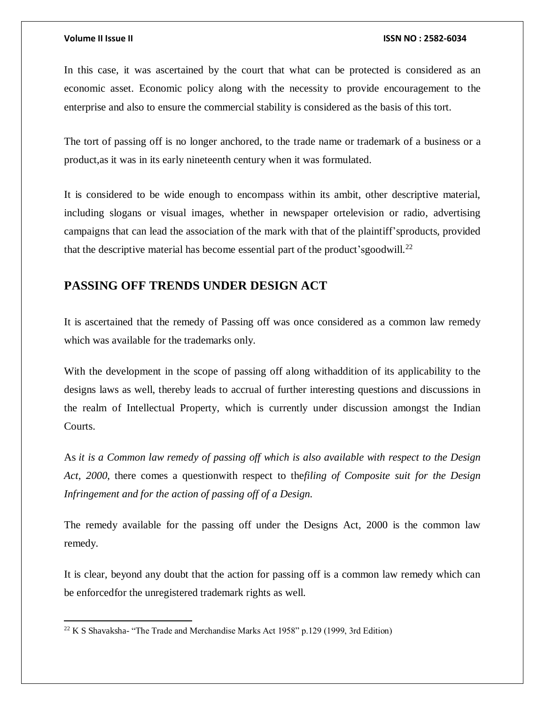$\overline{a}$ 

#### **Volume II Issue II ISSN NO : 2582-6034**

In this case, it was ascertained by the court that what can be protected is considered as an economic asset. Economic policy along with the necessity to provide encouragement to the enterprise and also to ensure the commercial stability is considered as the basis of this tort.

The tort of passing off is no longer anchored, to the trade name or trademark of a business or a product,as it was in its early nineteenth century when it was formulated.

It is considered to be wide enough to encompass within its ambit, other descriptive material, including slogans or visual images, whether in newspaper ortelevision or radio, advertising campaigns that can lead the association of the mark with that of the plaintiff'sproducts, provided that the descriptive material has become essential part of the product's goodwill.<sup>22</sup>

# **PASSING OFF TRENDS UNDER DESIGN ACT**

It is ascertained that the remedy of Passing off was once considered as a common law remedy which was available for the trademarks only.

With the development in the scope of passing off along withaddition of its applicability to the designs laws as well, thereby leads to accrual of further interesting questions and discussions in the realm of Intellectual Property, which is currently under discussion amongst the Indian Courts.

As *it is a Common law remedy of passing off which is also available with respect to the Design Act, 2000*, there comes a questionwith respect to the*filing of Composite suit for the Design Infringement and for the action of passing off of a Design.*

The remedy available for the passing off under the Designs Act, 2000 is the common law remedy.

It is clear, beyond any doubt that the action for passing off is a common law remedy which can be enforcedfor the unregistered trademark rights as well.

 $22$  K S Shavaksha- "The Trade and Merchandise Marks Act 1958" p.129 (1999, 3rd Edition)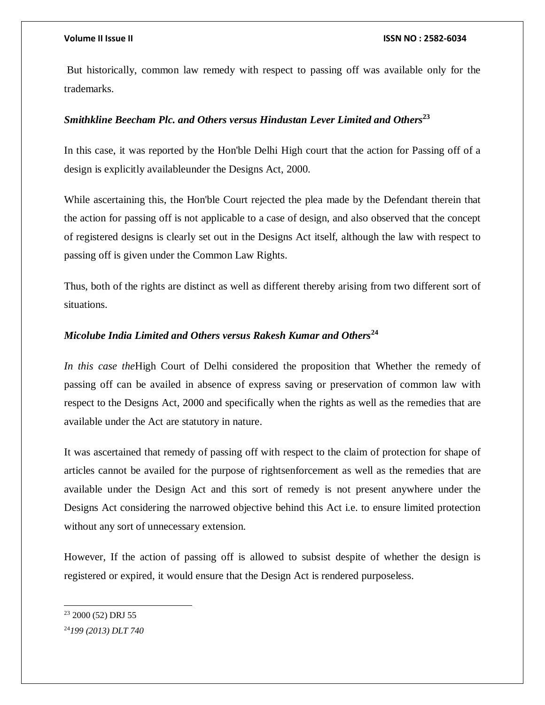But historically, common law remedy with respect to passing off was available only for the trademarks.

### *Smithkline Beecham Plc. and Others versus Hindustan Lever Limited and Others***<sup>23</sup>**

In this case, it was reported by the Hon'ble Delhi High court that the action for Passing off of a design is explicitly availableunder the Designs Act, 2000.

While ascertaining this, the Hon'ble Court rejected the plea made by the Defendant therein that the action for passing off is not applicable to a case of design, and also observed that the concept of registered designs is clearly set out in the Designs Act itself, although the law with respect to passing off is given under the Common Law Rights.

Thus, both of the rights are distinct as well as different thereby arising from two different sort of situations.

### *Micolube India Limited and Others versus Rakesh Kumar and Others***<sup>24</sup>**

*In this case the*High Court of Delhi considered the proposition that Whether the remedy of passing off can be availed in absence of express saving or preservation of common law with respect to the Designs Act, 2000 and specifically when the rights as well as the remedies that are available under the Act are statutory in nature.

It was ascertained that remedy of passing off with respect to the claim of protection for shape of articles cannot be availed for the purpose of rightsenforcement as well as the remedies that are available under the Design Act and this sort of remedy is not present anywhere under the Designs Act considering the narrowed objective behind this Act i.e. to ensure limited protection without any sort of unnecessary extension.

However, If the action of passing off is allowed to subsist despite of whether the design is registered or expired, it would ensure that the Design Act is rendered purposeless.

 $23$  2000 (52) DRJ 55

<sup>24</sup>*199 (2013) DLT 740*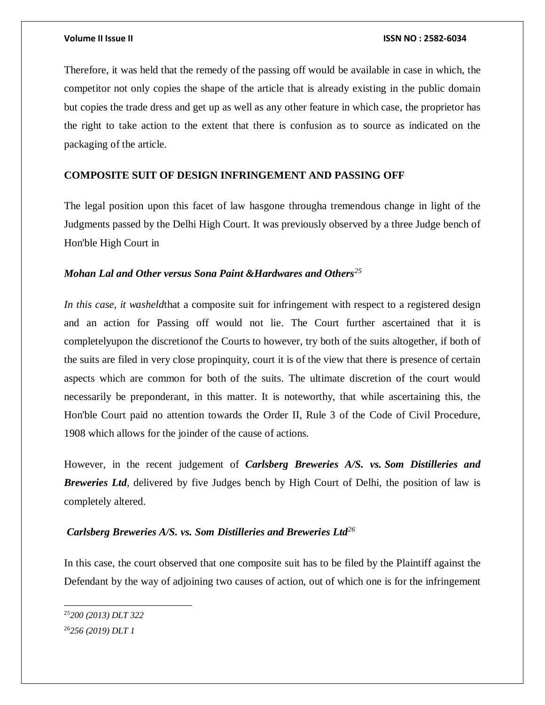Therefore, it was held that the remedy of the passing off would be available in case in which, the competitor not only copies the shape of the article that is already existing in the public domain but copies the trade dress and get up as well as any other feature in which case, the proprietor has the right to take action to the extent that there is confusion as to source as indicated on the packaging of the article.

### **COMPOSITE SUIT OF DESIGN INFRINGEMENT AND PASSING OFF**

The legal position upon this facet of law hasgone througha tremendous change in light of the Judgments passed by the Delhi High Court. It was previously observed by a three Judge bench of Hon'ble High Court in

### *Mohan Lal and Other versus Sona Paint &Hardwares and Others<sup>25</sup>*

*In this case, it washeld* that a composite suit for infringement with respect to a registered design and an action for Passing off would not lie. The Court further ascertained that it is completelyupon the discretionof the Courts to however, try both of the suits altogether, if both of the suits are filed in very close propinquity, court it is of the view that there is presence of certain aspects which are common for both of the suits. The ultimate discretion of the court would necessarily be preponderant, in this matter. It is noteworthy, that while ascertaining this, the Hon'ble Court paid no attention towards the Order II, Rule 3 of the Code of Civil Procedure, 1908 which allows for the joinder of the cause of actions.

However, in the recent judgement of *Carlsberg Breweries A/S. vs. Som Distilleries and Breweries Ltd*, delivered by five Judges bench by High Court of Delhi, the position of law is completely altered.

## *Carlsberg Breweries A/S. vs. Som Distilleries and Breweries Ltd<sup>26</sup>*

In this case, the court observed that one composite suit has to be filed by the Plaintiff against the Defendant by the way of adjoining two causes of action, out of which one is for the infringement

<sup>25</sup>*200 (2013) DLT 322* 26*256 (2019) DLT 1*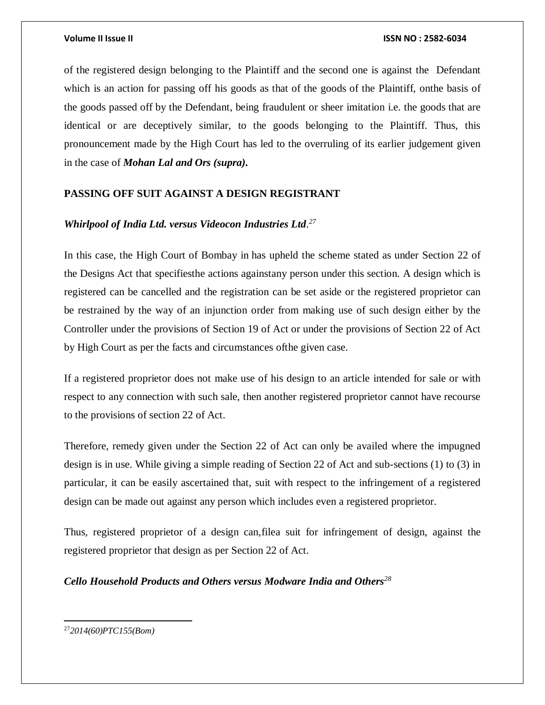of the registered design belonging to the Plaintiff and the second one is against the Defendant which is an action for passing off his goods as that of the goods of the Plaintiff, onthe basis of the goods passed off by the Defendant, being fraudulent or sheer imitation i.e. the goods that are identical or are deceptively similar, to the goods belonging to the Plaintiff. Thus, this pronouncement made by the High Court has led to the overruling of its earlier judgement given in the case of *Mohan Lal and Ors (supra).*

### **PASSING OFF SUIT AGAINST A DESIGN REGISTRANT**

### *Whirlpool of India Ltd. versus Videocon Industries Ltd. 27*

In this case, the High Court of Bombay in has upheld the scheme stated as under Section 22 of the Designs Act that specifiesthe actions againstany person under this section. A design which is registered can be cancelled and the registration can be set aside or the registered proprietor can be restrained by the way of an injunction order from making use of such design either by the Controller under the provisions of Section 19 of Act or under the provisions of Section 22 of Act by High Court as per the facts and circumstances ofthe given case.

If a registered proprietor does not make use of his design to an article intended for sale or with respect to any connection with such sale, then another registered proprietor cannot have recourse to the provisions of section 22 of Act.

Therefore, remedy given under the Section 22 of Act can only be availed where the impugned design is in use. While giving a simple reading of Section 22 of Act and sub-sections (1) to (3) in particular, it can be easily ascertained that, suit with respect to the infringement of a registered design can be made out against any person which includes even a registered proprietor.

Thus, registered proprietor of a design can,filea suit for infringement of design, against the registered proprietor that design as per Section 22 of Act.

*Cello Household Products and Others versus Modware India and Others<sup>28</sup>*

<sup>27</sup>*2014(60)PTC155(Bom)*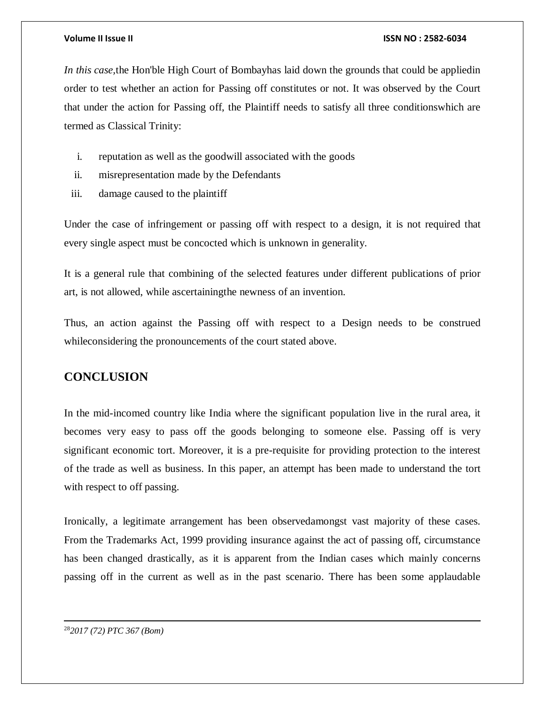*In this case,*the Hon'ble High Court of Bombayhas laid down the grounds that could be appliedin order to test whether an action for Passing off constitutes or not. It was observed by the Court that under the action for Passing off, the Plaintiff needs to satisfy all three conditionswhich are termed as Classical Trinity:

- i. reputation as well as the goodwill associated with the goods
- ii. misrepresentation made by the Defendants
- iii. damage caused to the plaintiff

Under the case of infringement or passing off with respect to a design, it is not required that every single aspect must be concocted which is unknown in generality.

It is a general rule that combining of the selected features under different publications of prior art, is not allowed, while ascertainingthe newness of an invention.

Thus, an action against the Passing off with respect to a Design needs to be construed whileconsidering the pronouncements of the court stated above.

# **CONCLUSION**

In the mid-incomed country like India where the significant population live in the rural area, it becomes very easy to pass off the goods belonging to someone else. Passing off is very significant economic tort. Moreover, it is a pre-requisite for providing protection to the interest of the trade as well as business. In this paper, an attempt has been made to understand the tort with respect to off passing.

Ironically, a legitimate arrangement has been observedamongst vast majority of these cases. From the Trademarks Act, 1999 providing insurance against the act of passing off, circumstance has been changed drastically, as it is apparent from the Indian cases which mainly concerns passing off in the current as well as in the past scenario. There has been some applaudable

28*2017 (72) PTC 367 (Bom)*